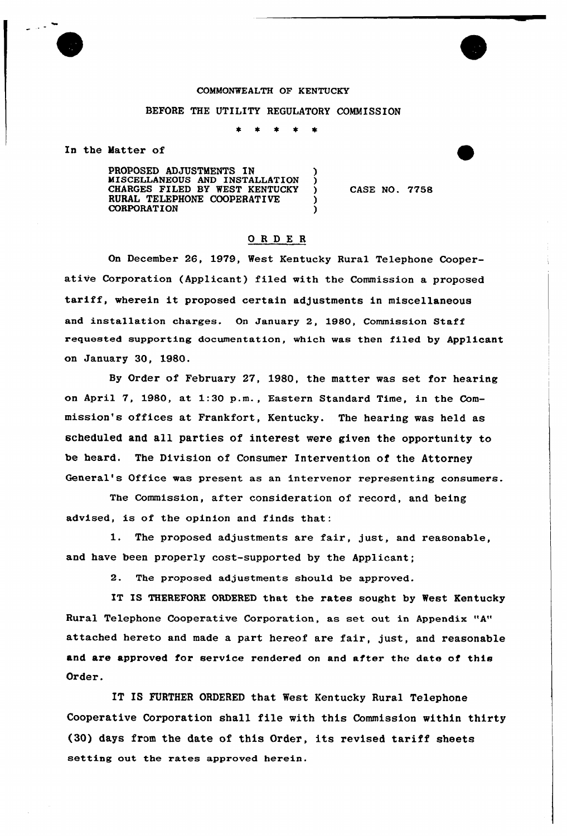## COMMONWEALTH OF KENTUCKY

#### BEFORE THE UTILITY REGULATORY COMMISSION

 $\star$  $\bullet$ 

In the Matter of

PROPOSED ADJUSTMENTS IN MISCELLANEOUS AND INSTALLATION ) CHARGES FILED BY WEST KENTUCKY RURAL TELEPHONE COOPERATIVE **CORPORATION** 

CASE NO. 7758

# ORDE <sup>R</sup>

On December 26, 1979, West Kentucky Rural Telephone Cooperative Corporation (Applicant) filed with the Commission a proposed tariff, wherein it proposed certain adjustments in miscellaneous and installation charges. On January 2, 1980, Commission Staff requested supporting documentation, which was then filed by Applicant on January 30, 1980.

By Order of February 27, 1980, the matter was set for hearing on April 7, 1980, at 1:30 p.m., Eastern Standard Time, in the Commission's offices at Frankfort, Kentucky. The hearing was held as scheduled and all parties of interest were given the opportunity to be heard. The Division of Consumer Intervention of the Attorney General's Office was present as an intervenor representing consumers.

The Commission, after consideration of record, and being advised, is of the opinion and finds that:

1. The proposed adjustments are fair, just, and reasonable, and have been properly cost-supported by the Applicant;

2. The proposed adjustments should be approved.

IT IS THEREFORE ORDERED that the rates sought by West Kentucky Rural Telephone Cooperative Corporation, as set out in Appendix "A" attached hereto and made a part hereof are fair, just, and reasonable and are approved for service rendered on and after the date of this Order.

IT IS FURTHER ORDERED that West Kentucky Rural Telephone Cooperative Corporation shall file with this Commission within thirty (30) days from the date of this Order, its revised tariff sheets setting out the rates approved herein.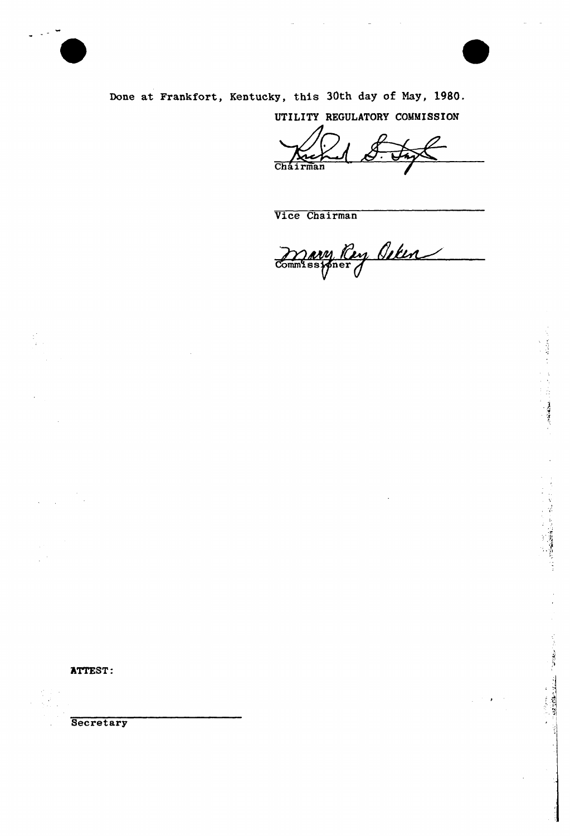



 $\label{eq:reduced} \mathcal{L}_{\mathcal{A}}(\mathbf{X}) = \mathcal{L}_{\mathcal{A}}(\mathbf{X}) = \mathcal{L}_{\mathcal{A}}(\mathbf{X}) = \mathcal{L}_{\mathcal{A}}(\mathbf{X})$ 

しょうしょう とうしょう なんじゅう しょうしん こうしん はんしん 大学の実施の場合 かんじょう

The Communication of the Second States

Done at Frankfort, Kentucky, this 30th day of Nay, 1980.

UTILITY REGULATORY COMMISSION

Cháirma

Vice Chairman

Davy Roy Ocker

ATTEST:

**Secretary**